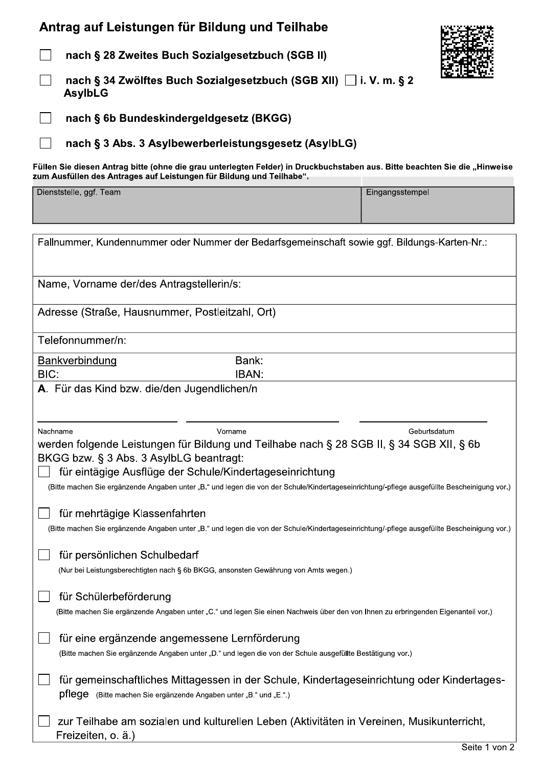## Antrag auf Leistungen für Bildung und Teilnabe

O O

 $\Box$ nacn § 28 Zweites Buch Soziaigesetzbuch (SGB II)  $\overline{a}$ nach § 34 Zwolftes Buch Sozialgesetzi Antrag auf Leistungen für Bildung und Teilhabe<br>
mach § 28 Zweites Buch Sozialgesetzbuch (SGB II)<br>
mach § 34 Zwölftes Buch Sozialgesetzbuch (SGB III)<br>
mach § 34 Zwölftes Buch Sozialgesetzbuch (SGB XII) □ i. V. m. § 2<br>
Asyl nach § 60 Bundeskindergeldgesetz (BKGG)  $\Box$ nach § 3 Abs. 3 Asylbewerberleistungsgesetz (AsylbLG)  $\ddotsc$ Fullen Sie diesen Antrag bitte (ohne die grau unterlegten Felder) in Druckbuchstaben aus. Bitte beachten Sie die "Hinweise zum Austulien des Antrages auf Leistungen für Bildung und Teilnabe".<br>Leiter der Universität Point Stelle, ggf. Team and the contract of the contract of the contract of the contract of the contract of the contract of the contract of the contract of the contract of the contract of the contract of the contract of th

| Fallnummer, Kundennummer oder Nummer der Bedarfsgemeinschaft sowie ggf. Bildungs-Karten-Nr.:                                                                                                                                                                                                                                                                                          |                                                                                            |  |
|---------------------------------------------------------------------------------------------------------------------------------------------------------------------------------------------------------------------------------------------------------------------------------------------------------------------------------------------------------------------------------------|--------------------------------------------------------------------------------------------|--|
| Name, Vorname der/des Antragstellerin/s:                                                                                                                                                                                                                                                                                                                                              |                                                                                            |  |
| Adresse (Straße, Hausnummer, Postleitzahl, Ort)                                                                                                                                                                                                                                                                                                                                       |                                                                                            |  |
| Telefonnummer/n:                                                                                                                                                                                                                                                                                                                                                                      |                                                                                            |  |
| Bank:<br><b>Bankverbindung</b><br>BIC:<br><b>IBAN:</b>                                                                                                                                                                                                                                                                                                                                |                                                                                            |  |
| A. Für das Kind bzw. die/den Jugendlichen/n                                                                                                                                                                                                                                                                                                                                           |                                                                                            |  |
| Nachname<br>Vorname<br>Geburtsdatum<br>werden folgende Leistungen für Bildung und Teilhabe nach § 28 SGB II, § 34 SGB XII, § 6b<br>BKGG bzw. § 3 Abs. 3 AsylbLG beantragt:<br>für eintägige Ausflüge der Schule/Kindertageseinrichtung<br>(Bitte machen Sie ergänzende Angaben unter "B." und legen die von der Schule/Kindertageseinrichtung/-pflege ausgefüllte Bescheinigung vor.) |                                                                                            |  |
| für mehrtägige Klassenfahrten<br>(Bitte machen Sie ergänzende Angaben unter "B." und legen die von der Schule/Kindertageseinrichtung/-pflege ausgefüllte Bescheinigung vor.)                                                                                                                                                                                                          |                                                                                            |  |
| für persönlichen Schulbedarf<br>(Nur bei Leistungsberechtigten nach § 6b BKGG, ansonsten Gewährung von Amts wegen.)                                                                                                                                                                                                                                                                   |                                                                                            |  |
| für Schülerbeförderung<br>(Bitte machen Sie ergänzende Angaben unter "C." und legen Sie einen Nachweis über den von Ihnen zu erbringenden Eigenanteil vor.)                                                                                                                                                                                                                           |                                                                                            |  |
| für eine ergänzende angemessene Lernförderung<br>(Bitte machen Sie ergänzende Angaben unter "D." und legen die von der Schule ausgefüllte Bestätigung vor.)                                                                                                                                                                                                                           |                                                                                            |  |
| pflege (Bitte machen Sie ergänzende Angaben unter "B." und "E.".)                                                                                                                                                                                                                                                                                                                     | für gemeinschaftliches Mittagessen in der Schule, Kindertageseinrichtung oder Kindertages- |  |
| zur Teilhabe am sozialen und kulturellen Leben (Aktivitäten in Vereinen, Musikunterricht,<br>Freizeiten, o. ä.)                                                                                                                                                                                                                                                                       |                                                                                            |  |